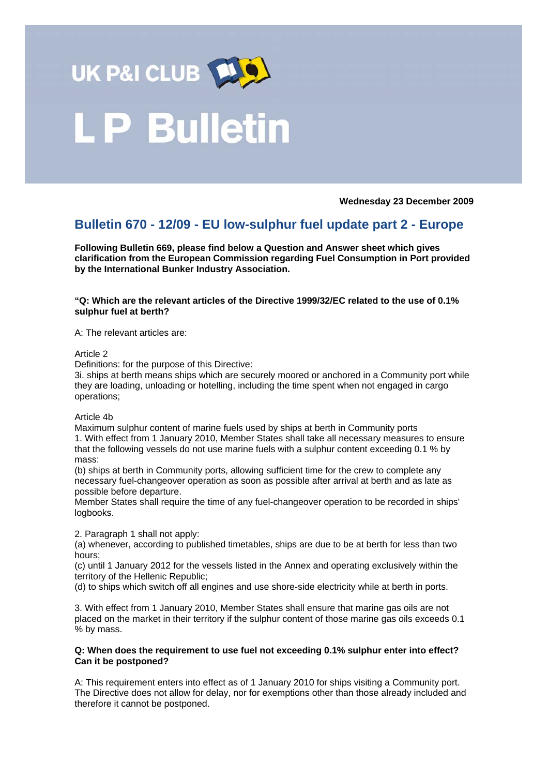

# **LP Bulletin**

**Wednesday 23 December 2009** 

# **Bulletin 670 - 12/09 - EU low-sulphur fuel update part 2 - Europe**

**Following Bulletin 669, please find below a Question and Answer sheet which gives clarification from the European Commission regarding Fuel Consumption in Port provided by the International Bunker Industry Association.** 

# **"Q: Which are the relevant articles of the Directive 1999/32/EC related to the use of 0.1% sulphur fuel at berth?**

A: The relevant articles are:

#### Article 2

Definitions: for the purpose of this Directive:

3i. ships at berth means ships which are securely moored or anchored in a Community port while they are loading, unloading or hotelling, including the time spent when not engaged in cargo operations;

Article 4b

Maximum sulphur content of marine fuels used by ships at berth in Community ports 1. With effect from 1 January 2010, Member States shall take all necessary measures to ensure that the following vessels do not use marine fuels with a sulphur content exceeding 0.1 % by mass:

(b) ships at berth in Community ports, allowing sufficient time for the crew to complete any necessary fuel-changeover operation as soon as possible after arrival at berth and as late as possible before departure.

Member States shall require the time of any fuel-changeover operation to be recorded in ships' logbooks.

2. Paragraph 1 shall not apply:

(a) whenever, according to published timetables, ships are due to be at berth for less than two hours;

(c) until 1 January 2012 for the vessels listed in the Annex and operating exclusively within the territory of the Hellenic Republic;

(d) to ships which switch off all engines and use shore-side electricity while at berth in ports.

3. With effect from 1 January 2010, Member States shall ensure that marine gas oils are not placed on the market in their territory if the sulphur content of those marine gas oils exceeds 0.1 % by mass.

#### **Q: When does the requirement to use fuel not exceeding 0.1% sulphur enter into effect? Can it be postponed?**

A: This requirement enters into effect as of 1 January 2010 for ships visiting a Community port. The Directive does not allow for delay, nor for exemptions other than those already included and therefore it cannot be postponed.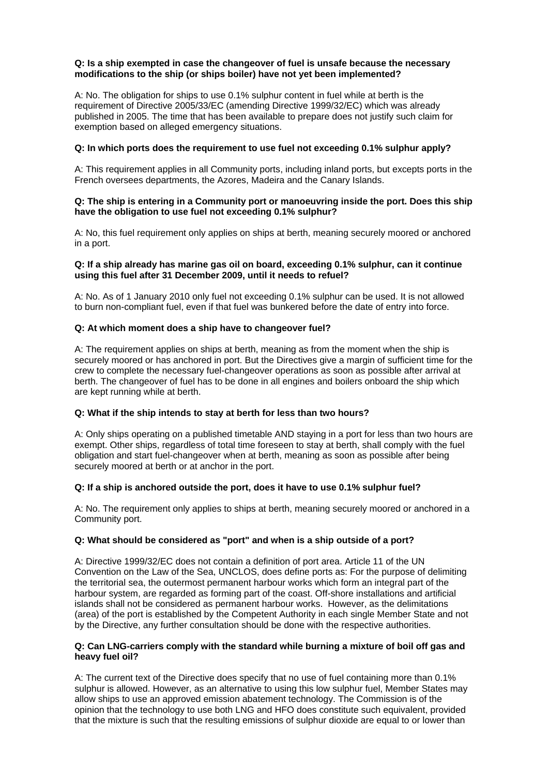# **Q: Is a ship exempted in case the changeover of fuel is unsafe because the necessary modifications to the ship (or ships boiler) have not yet been implemented?**

A: No. The obligation for ships to use 0.1% sulphur content in fuel while at berth is the requirement of Directive 2005/33/EC (amending Directive 1999/32/EC) which was already published in 2005. The time that has been available to prepare does not justify such claim for exemption based on alleged emergency situations.

# **Q: In which ports does the requirement to use fuel not exceeding 0.1% sulphur apply?**

A: This requirement applies in all Community ports, including inland ports, but excepts ports in the French oversees departments, the Azores, Madeira and the Canary Islands.

#### **Q: The ship is entering in a Community port or manoeuvring inside the port. Does this ship have the obligation to use fuel not exceeding 0.1% sulphur?**

A: No, this fuel requirement only applies on ships at berth, meaning securely moored or anchored in a port.

#### **Q: If a ship already has marine gas oil on board, exceeding 0.1% sulphur, can it continue using this fuel after 31 December 2009, until it needs to refuel?**

A: No. As of 1 January 2010 only fuel not exceeding 0.1% sulphur can be used. It is not allowed to burn non-compliant fuel, even if that fuel was bunkered before the date of entry into force.

# **Q: At which moment does a ship have to changeover fuel?**

A: The requirement applies on ships at berth, meaning as from the moment when the ship is securely moored or has anchored in port. But the Directives give a margin of sufficient time for the crew to complete the necessary fuel-changeover operations as soon as possible after arrival at berth. The changeover of fuel has to be done in all engines and boilers onboard the ship which are kept running while at berth.

#### **Q: What if the ship intends to stay at berth for less than two hours?**

A: Only ships operating on a published timetable AND staying in a port for less than two hours are exempt. Other ships, regardless of total time foreseen to stay at berth, shall comply with the fuel obligation and start fuel-changeover when at berth, meaning as soon as possible after being securely moored at berth or at anchor in the port.

#### **Q: If a ship is anchored outside the port, does it have to use 0.1% sulphur fuel?**

A: No. The requirement only applies to ships at berth, meaning securely moored or anchored in a Community port.

# **Q: What should be considered as "port" and when is a ship outside of a port?**

A: Directive 1999/32/EC does not contain a definition of port area. Article 11 of the UN Convention on the Law of the Sea, UNCLOS, does define ports as: For the purpose of delimiting the territorial sea, the outermost permanent harbour works which form an integral part of the harbour system, are regarded as forming part of the coast. Off-shore installations and artificial islands shall not be considered as permanent harbour works. However, as the delimitations (area) of the port is established by the Competent Authority in each single Member State and not by the Directive, any further consultation should be done with the respective authorities.

#### **Q: Can LNG-carriers comply with the standard while burning a mixture of boil off gas and heavy fuel oil?**

A: The current text of the Directive does specify that no use of fuel containing more than 0.1% sulphur is allowed. However, as an alternative to using this low sulphur fuel, Member States may allow ships to use an approved emission abatement technology. The Commission is of the opinion that the technology to use both LNG and HFO does constitute such equivalent, provided that the mixture is such that the resulting emissions of sulphur dioxide are equal to or lower than